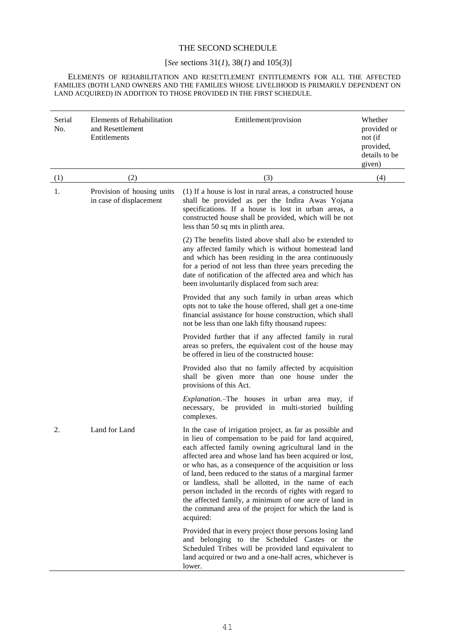## THE SECOND SCHEDULE

## [*See* sections 31(*1*)*,* 38(*1*) and 105(*3*)]

ELEMENTS OF REHABILITATION AND RESETTLEMENT ENTITLEMENTS FOR ALL THE AFFECTED FAMILIES (BOTH LAND OWNERS AND THE FAMILIES WHOSE LIVELIHOOD IS PRIMARILY DEPENDENT ON LAND ACQUIRED) IN ADDITION TO THOSE PROVIDED IN THE FIRST SCHEDULE.

| Serial<br>No. | <b>Elements of Rehabilitation</b><br>and Resettlement<br>Entitlements | Entitlement/provision                                                                                                                                                                                                                                                                                                                                                                                                                                                                                                                                                                                         | Whether<br>provided or<br>not (if<br>provided,<br>details to be<br>given) |  |
|---------------|-----------------------------------------------------------------------|---------------------------------------------------------------------------------------------------------------------------------------------------------------------------------------------------------------------------------------------------------------------------------------------------------------------------------------------------------------------------------------------------------------------------------------------------------------------------------------------------------------------------------------------------------------------------------------------------------------|---------------------------------------------------------------------------|--|
| (1)           | (2)                                                                   | (3)                                                                                                                                                                                                                                                                                                                                                                                                                                                                                                                                                                                                           | (4)                                                                       |  |
| 1.            | Provision of housing units<br>in case of displacement                 | (1) If a house is lost in rural areas, a constructed house<br>shall be provided as per the Indira Awas Yojana<br>specifications. If a house is lost in urban areas, a<br>constructed house shall be provided, which will be not<br>less than 50 sq mts in plinth area.                                                                                                                                                                                                                                                                                                                                        |                                                                           |  |
|               |                                                                       | (2) The benefits listed above shall also be extended to<br>any affected family which is without homestead land<br>and which has been residing in the area continuously<br>for a period of not less than three years preceding the<br>date of notification of the affected area and which has<br>been involuntarily displaced from such area:                                                                                                                                                                                                                                                                  |                                                                           |  |
|               |                                                                       | Provided that any such family in urban areas which<br>opts not to take the house offered, shall get a one-time<br>financial assistance for house construction, which shall<br>not be less than one lakh fifty thousand rupees:                                                                                                                                                                                                                                                                                                                                                                                |                                                                           |  |
|               |                                                                       | Provided further that if any affected family in rural<br>areas so prefers, the equivalent cost of the house may<br>be offered in lieu of the constructed house:                                                                                                                                                                                                                                                                                                                                                                                                                                               |                                                                           |  |
|               |                                                                       | Provided also that no family affected by acquisition<br>shall be given more than one house under the<br>provisions of this Act.                                                                                                                                                                                                                                                                                                                                                                                                                                                                               |                                                                           |  |
|               |                                                                       | Explanation.-The houses in urban area may, if<br>necessary, be provided in multi-storied building<br>complexes.                                                                                                                                                                                                                                                                                                                                                                                                                                                                                               |                                                                           |  |
| 2.            | Land for Land                                                         | In the case of irrigation project, as far as possible and<br>in lieu of compensation to be paid for land acquired,<br>each affected family owning agricultural land in the<br>affected area and whose land has been acquired or lost,<br>or who has, as a consequence of the acquisition or loss<br>of land, been reduced to the status of a marginal farmer<br>or landless, shall be allotted, in the name of each<br>person included in the records of rights with regard to<br>the affected family, a minimum of one acre of land in<br>the command area of the project for which the land is<br>acquired: |                                                                           |  |
|               |                                                                       | Provided that in every project those persons losing land<br>and belonging to the Scheduled Castes or the<br>Scheduled Tribes will be provided land equivalent to<br>land acquired or two and a one-half acres, whichever is<br>lower.                                                                                                                                                                                                                                                                                                                                                                         |                                                                           |  |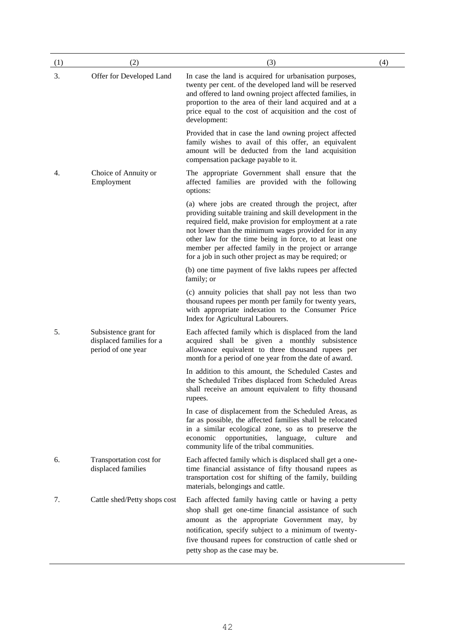| (1) | (2)                                                                     | (3)                                                                                                                                                                                                                                                                                                                                                                                                              | (4) |
|-----|-------------------------------------------------------------------------|------------------------------------------------------------------------------------------------------------------------------------------------------------------------------------------------------------------------------------------------------------------------------------------------------------------------------------------------------------------------------------------------------------------|-----|
| 3.  | Offer for Developed Land                                                | In case the land is acquired for urbanisation purposes,<br>twenty per cent. of the developed land will be reserved<br>and offered to land owning project affected families, in<br>proportion to the area of their land acquired and at a<br>price equal to the cost of acquisition and the cost of<br>development:                                                                                               |     |
|     |                                                                         | Provided that in case the land owning project affected<br>family wishes to avail of this offer, an equivalent<br>amount will be deducted from the land acquisition<br>compensation package payable to it.                                                                                                                                                                                                        |     |
| 4.  | Choice of Annuity or<br>Employment                                      | The appropriate Government shall ensure that the<br>affected families are provided with the following<br>options:                                                                                                                                                                                                                                                                                                |     |
|     |                                                                         | (a) where jobs are created through the project, after<br>providing suitable training and skill development in the<br>required field, make provision for employment at a rate<br>not lower than the minimum wages provided for in any<br>other law for the time being in force, to at least one<br>member per affected family in the project or arrange<br>for a job in such other project as may be required; or |     |
|     |                                                                         | (b) one time payment of five lakhs rupees per affected<br>family; or                                                                                                                                                                                                                                                                                                                                             |     |
|     |                                                                         | (c) annuity policies that shall pay not less than two<br>thousand rupees per month per family for twenty years,<br>with appropriate indexation to the Consumer Price<br>Index for Agricultural Labourers.                                                                                                                                                                                                        |     |
| 5.  | Subsistence grant for<br>displaced families for a<br>period of one year | Each affected family which is displaced from the land<br>acquired shall be given a monthly subsistence<br>allowance equivalent to three thousand rupees per<br>month for a period of one year from the date of award.                                                                                                                                                                                            |     |
|     |                                                                         | In addition to this amount, the Scheduled Castes and<br>the Scheduled Tribes displaced from Scheduled Areas<br>shall receive an amount equivalent to fifty thousand<br>rupees.                                                                                                                                                                                                                                   |     |
|     |                                                                         | In case of displacement from the Scheduled Areas, as<br>far as possible, the affected families shall be relocated<br>in a similar ecological zone, so as to preserve the<br>opportunities,<br>language,<br>economic<br>culture<br>and<br>community life of the tribal communities.                                                                                                                               |     |
| 6.  | Transportation cost for<br>displaced families                           | Each affected family which is displaced shall get a one-<br>time financial assistance of fifty thousand rupees as<br>transportation cost for shifting of the family, building<br>materials, belongings and cattle.                                                                                                                                                                                               |     |
| 7.  | Cattle shed/Petty shops cost                                            | Each affected family having cattle or having a petty<br>shop shall get one-time financial assistance of such<br>amount as the appropriate Government may, by<br>notification, specify subject to a minimum of twenty-<br>five thousand rupees for construction of cattle shed or<br>petty shop as the case may be.                                                                                               |     |